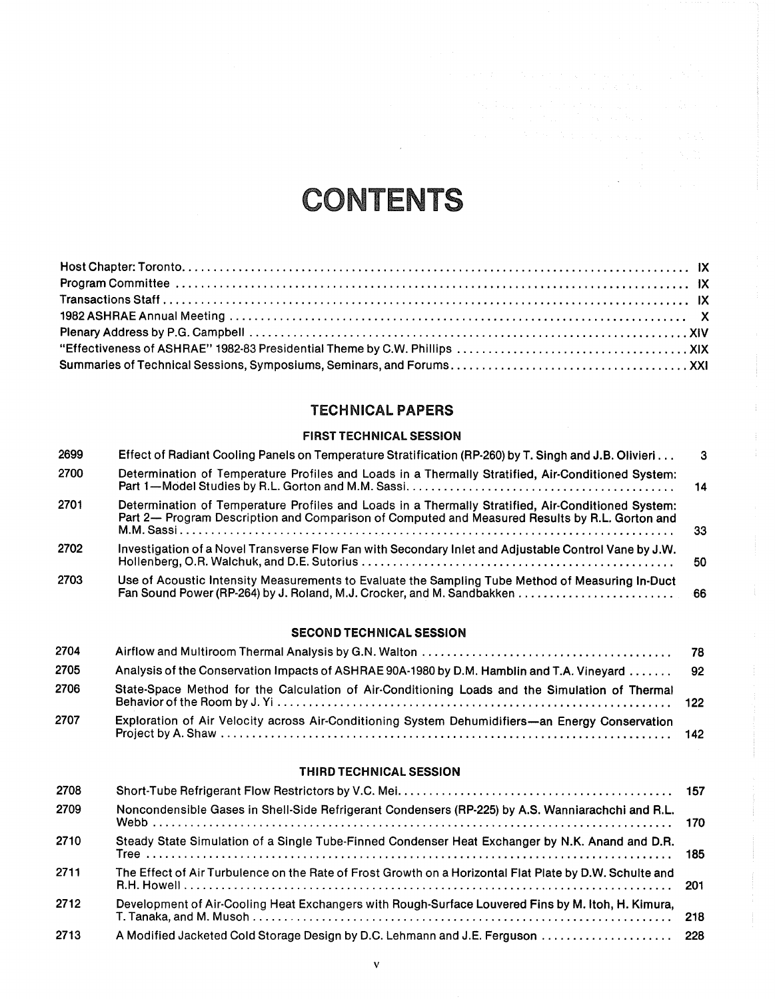# CONTENTS

 $\alpha$ 

## TECHNICAL PAPERS

#### FIRST TECHNICALSESSION

| 2699 | Effect of Radiant Cooling Panels on Temperature Stratification (RP-260) by T. Singh and J.B. Olivieri                                                                                                | -3  |
|------|------------------------------------------------------------------------------------------------------------------------------------------------------------------------------------------------------|-----|
| 2700 | Determination of Temperature Profiles and Loads in a Thermally Stratified, Air-Conditioned System:                                                                                                   | -14 |
| 2701 | Determination of Temperature Profiles and Loads in a Thermally Stratified, Air-Conditioned System:<br>Part 2— Program Description and Comparison of Computed and Measured Results by R.L. Gorton and | 33  |
| 2702 | Investigation of a Novel Transverse Flow Fan with Secondary Inlet and Adjustable Control Vane by J.W.                                                                                                | 50  |
| 2703 | Use of Acoustic Intensity Measurements to Evaluate the Sampling Tube Method of Measuring In-Duct                                                                                                     |     |

#### SECOND TECHNICAL SESSION

| 2704 |                                                                                                 |  |
|------|-------------------------------------------------------------------------------------------------|--|
| 2705 | Analysis of the Conservation Impacts of ASHRAE 90A-1980 by D.M. Hamblin and T.A. Vineyard  92   |  |
| 2706 | State-Space Method for the Calculation of Air-Conditioning Loads and the Simulation of Thermal  |  |
| 2707 | Exploration of Air Velocity across Air-Conditioning System Dehumidifiers-an Energy Conservation |  |

#### THIRD TECHNICAL SESSION

| 2708 |                                                                                                         |     |
|------|---------------------------------------------------------------------------------------------------------|-----|
| 2709 | Noncondensible Gases in Shell-Side Refrigerant Condensers (RP-225) by A.S. Wanniarachchi and R.L.       |     |
| 2710 | Steady State Simulation of a Single Tube-Finned Condenser Heat Exchanger by N.K. Anand and D.R.         |     |
| 2711 | The Effect of Air Turbulence on the Rate of Frost Growth on a Horizontal Flat Plate by D.W. Schulte and |     |
| 2712 | Development of Air-Cooling Heat Exchangers with Rough-Surface Louvered Fins by M. Itoh, H. Kimura,      | 218 |
| 2713 |                                                                                                         |     |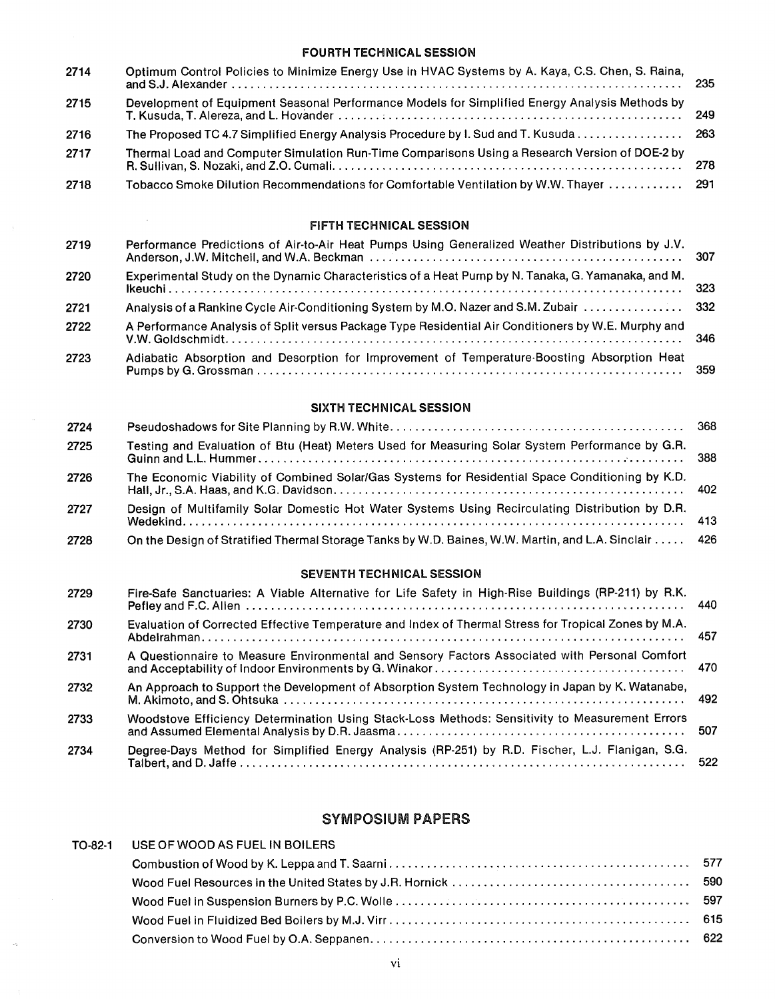#### FOURTH TECHNICAL SESSION

| 2714 | Optimum Control Policies to Minimize Energy Use in HVAC Systems by A. Kaya, C.S. Chen, S. Raina, |  |
|------|--------------------------------------------------------------------------------------------------|--|
| 2715 | Development of Equipment Seasonal Performance Models for Simplified Energy Analysis Methods by   |  |
| 2716 | The Proposed TC 4.7 Simplified Energy Analysis Procedure by I. Sud and T. Kusuda 263             |  |
| 2717 | Thermal Load and Computer Simulation Run-Time Comparisons Using a Research Version of DOE-2 by   |  |
| 2718 | Tobacco Smoke Dilution Recommendations for Comfortable Ventilation by W.W. Thayer  291           |  |

#### FIFTH TECHNICAL SESSION

| 2719 | Performance Predictions of Air-to-Air Heat Pumps Using Generalized Weather Distributions by J.V.    |  |
|------|-----------------------------------------------------------------------------------------------------|--|
| 2720 | Experimental Study on the Dynamic Characteristics of a Heat Pump by N. Tanaka, G. Yamanaka, and M.  |  |
| 2721 |                                                                                                     |  |
| 2722 | A Performance Analysis of Split versus Package Type Residential Air Conditioners by W.E. Murphy and |  |
| 2723 | Adiabatic Absorption and Desorption for Improvement of Temperature-Boosting Absorption Heat         |  |

#### SIXTH TECHNICAL SESSION

| 2724 |                                                                                                      |  |
|------|------------------------------------------------------------------------------------------------------|--|
| 2725 | Testing and Evaluation of Btu (Heat) Meters Used for Measuring Solar System Performance by G.R.      |  |
| 2726 | The Economic Viability of Combined Solar/Gas Systems for Residential Space Conditioning by K.D.      |  |
| 2727 | Design of Multifamily Solar Domestic Hot Water Systems Using Recirculating Distribution by D.R.      |  |
| 2728 | On the Design of Stratified Thermal Storage Tanks by W.D. Baines, W.W. Martin, and L.A. Sinclair 426 |  |

#### SEVENTH TECHNICAL SESSION

| 2729 | Fire-Safe Sanctuaries: A Viable Alternative for Life Safety in High-Rise Buildings (RP-211) by R.K.  |      |
|------|------------------------------------------------------------------------------------------------------|------|
| 2730 | Evaluation of Corrected Effective Temperature and Index of Thermal Stress for Tropical Zones by M.A. | -457 |
| 2731 | A Questionnaire to Measure Environmental and Sensory Factors Associated with Personal Comfort        |      |
| 2732 | An Approach to Support the Development of Absorption System Technology in Japan by K. Watanabe,      |      |
| 2733 | Woodstove Efficiency Determination Using Stack-Loss Methods: Sensitivity to Measurement Errors       | 507  |
| 2734 | Degree-Days Method for Simplified Energy Analysis (RP-251) by R.D. Fischer, L.J. Flanigan, S.G.      | 522  |

# SYMPOSIUM PAPERS

| TO-82-1 | USE OF WOOD AS FUEL IN BOILERS |  |
|---------|--------------------------------|--|
|         |                                |  |
|         |                                |  |
|         |                                |  |
|         |                                |  |
|         |                                |  |
|         |                                |  |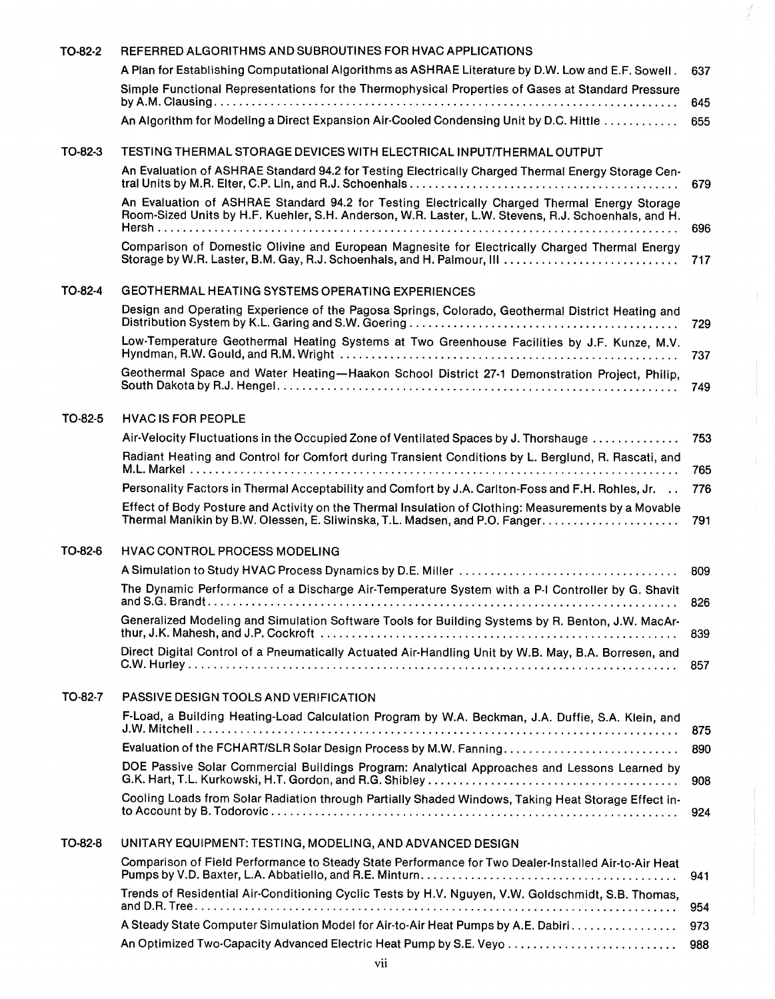| TO-82-2 | REFERRED ALGORITHMS AND SUBROUTINES FOR HVAC APPLICATIONS                                                                                                                                            |     |
|---------|------------------------------------------------------------------------------------------------------------------------------------------------------------------------------------------------------|-----|
|         | A Plan for Establishing Computational Algorithms as ASHRAE Literature by D.W. Low and E.F. Sowell.                                                                                                   | 637 |
|         | Simple Functional Representations for the Thermophysical Properties of Gases at Standard Pressure                                                                                                    | 645 |
|         | An Algorithm for Modeling a Direct Expansion Air-Cooled Condensing Unit by D.C. Hittle                                                                                                               | 655 |
| TO-82-3 | TESTING THERMAL STORAGE DEVICES WITH ELECTRICAL INPUT/THERMAL OUTPUT                                                                                                                                 |     |
|         | An Evaluation of ASHRAE Standard 94.2 for Testing Electrically Charged Thermal Energy Storage Cen-                                                                                                   | 679 |
|         | An Evaluation of ASHRAE Standard 94.2 for Testing Electrically Charged Thermal Energy Storage<br>Room-Sized Units by H.F. Kuehler, S.H. Anderson, W.R. Laster, L.W. Stevens, R.J. Schoenhals, and H. | 696 |
|         | Comparison of Domestic Olivine and European Magnesite for Electrically Charged Thermal Energy                                                                                                        | 717 |
| TO-82-4 | GEOTHERMAL HEATING SYSTEMS OPERATING EXPERIENCES                                                                                                                                                     |     |
|         | Design and Operating Experience of the Pagosa Springs, Colorado, Geothermal District Heating and                                                                                                     | 729 |
|         | Low-Temperature Geothermal Heating Systems at Two Greenhouse Facilities by J.F. Kunze, M.V.                                                                                                          | 737 |
|         | Geothermal Space and Water Heating-Haakon School District 27-1 Demonstration Project, Philip,                                                                                                        | 749 |
| TO-82-5 | <b>HVAC IS FOR PEOPLE</b>                                                                                                                                                                            |     |
|         | Air-Velocity Fluctuations in the Occupied Zone of Ventilated Spaces by J. Thorshauge                                                                                                                 | 753 |
|         | Radiant Heating and Control for Comfort during Transient Conditions by L. Berglund, R. Rascati, and                                                                                                  | 765 |
|         | Personality Factors in Thermal Acceptability and Comfort by J.A. Carlton-Foss and F.H. Rohles, Jr.                                                                                                   | 776 |
|         | Effect of Body Posture and Activity on the Thermal Insulation of Clothing: Measurements by a Movable                                                                                                 | 791 |
| TO-82-6 | <b>HVAC CONTROL PROCESS MODELING</b>                                                                                                                                                                 |     |
|         |                                                                                                                                                                                                      | 809 |
|         | The Dynamic Performance of a Discharge Air-Temperature System with a P-I Controller by G. Shavit                                                                                                     | 826 |
|         | Generalized Modeling and Simulation Software Tools for Building Systems by R. Benton, J.W. MacAr-                                                                                                    | 839 |
|         | Direct Digital Control of a Pneumatically Actuated Air-Handling Unit by W.B. May, B.A. Borresen, and                                                                                                 | 857 |
| TO-82-7 | PASSIVE DESIGN TOOLS AND VERIFICATION                                                                                                                                                                |     |
|         | F-Load, a Building Heating-Load Calculation Program by W.A. Beckman, J.A. Duffie, S.A. Klein, and                                                                                                    | 875 |
|         |                                                                                                                                                                                                      | 890 |
|         | DOE Passive Solar Commercial Buildings Program: Analytical Approaches and Lessons Learned by                                                                                                         | 908 |
|         | Cooling Loads from Solar Radiation through Partially Shaded Windows, Taking Heat Storage Effect in-                                                                                                  | 924 |
| TO-82-8 | UNITARY EQUIPMENT: TESTING, MODELING, AND ADVANCED DESIGN                                                                                                                                            |     |
|         | Comparison of Field Performance to Steady State Performance for Two Dealer-Installed Air-to-Air Heat                                                                                                 | 941 |
|         | Trends of Residential Air-Conditioning Cyclic Tests by H.V. Nguyen, V.W. Goldschmidt, S.B. Thomas,                                                                                                   | 954 |
|         | A Steady State Computer Simulation Model for Air-to-Air Heat Pumps by A.E. Dabiri                                                                                                                    | 973 |
|         | An Optimized Two-Capacity Advanced Electric Heat Pump by S.E. Veyo                                                                                                                                   | 988 |

¥,